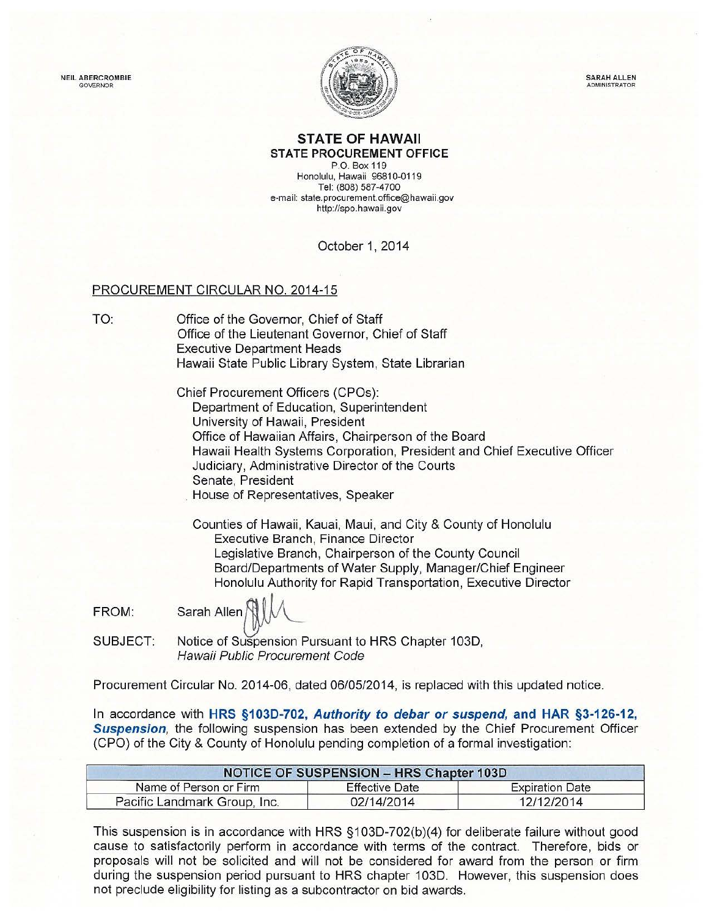NEIL ABERCROMBIE GOVERNOR



SARAH ALLEN **ADMINISTRATO** 

## **STATE OF HAWAII STATE PROCUREMENT OFFICE**

P.O. Box 119 Honolulu, Hawaii 96810-0119 Tel: (808) 587-4700 e-mail: state.procurement.office@hawaii.gov http:l/spo.hawaii.gov

October 1, 2014

## PROCUREMENT CIRCULAR NO. 2014-15

TO: Office of the Governor, Chief of Staff Office of the Lieutenant Governor, Chief of Staff Executive Department Heads Hawaii State Public Library System, State Librarian

> Chief Procurement Officers (CPOs): Department of Education, Superintendent University of Hawaii, President Office of Hawaiian Affairs, Chairperson of the Board Hawaii Health Systems Corporation, President and Chief Executive Officer Judiciary, Administrative Director of the Courts Senate, President . House of Representatives, Speaker

Counties of Hawaii, Kauai, Maui, and City & County of Honolulu Executive Branch, Finance Director Legislative Branch, Chairperson of the County Council Board/Departments of Water Supply, Manager/Chief Engineer Board/Departments of Water Supply, Manager/Omer Engineer<br>Honolulu Authority for Rapid Transportation, Executive Director<br>Sarah Allen

FROM:

SUBJECT: Notice of Suspension Pursuant to HRS Chapter 103D, Hawaii Public Procurement Code

Procurement Circular No. 2014-06, dated 06/05/2014, is replaced with this updated notice.

In accordance with **HRS §1030-702, Authority to debar or suspend, and HAR §3-126-12, Suspension,** the following suspension has been extended by the Chief Procurement Officer (CPO) of the City & County of Honolulu pending completion of a formal investigation:

| <b>NOTICE OF SUSPENSION - HRS Chapter 103D</b> |                       |                        |
|------------------------------------------------|-----------------------|------------------------|
| Name of Person or Firm                         | <b>Effective Date</b> | <b>Expiration Date</b> |
| Pacific Landmark Group, Inc.                   | 02/14/2014            | 12/12/2014             |

This suspension is in accordance with HRS §103D-702(b)(4) for deliberate failure without good cause to satisfactorily perform in accordance with terms of the contract. Therefore, bids or proposals will not be solicited and will not be considered for award from the person or firm during the suspension period pursuant to HRS chapter 103D. However, this suspension does not preclude eligibility for listing as a subcontractor on bid awards.